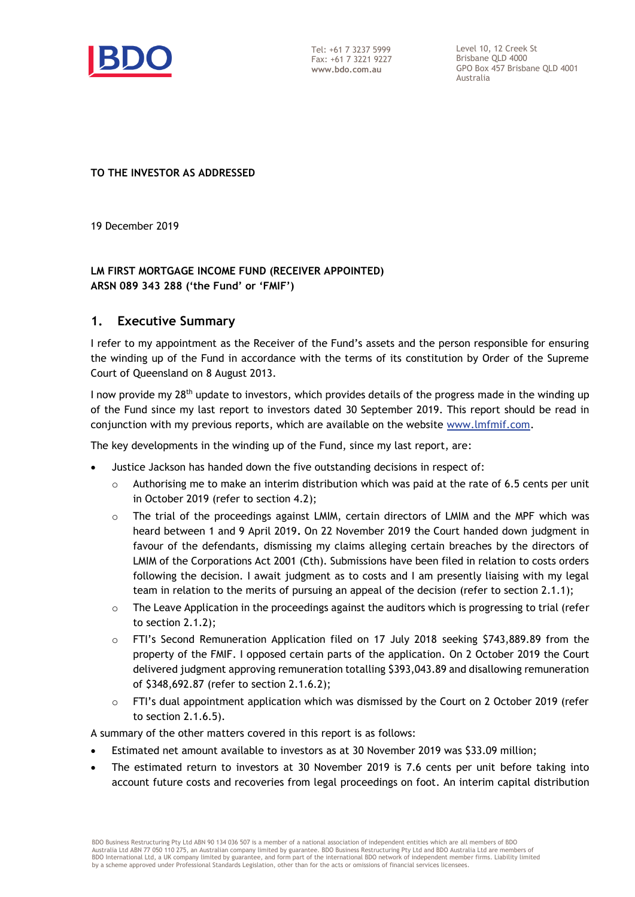

Tel: +61 7 3237 5999 Fax: +61 7 3221 9227 **www.bdo.com.au**

Level 10, 12 Creek St Brisbane QLD 4000 GPO Box 457 Brisbane QLD 4001 Australia

#### **TO THE INVESTOR AS ADDRESSED**

19 December 2019

# **LM FIRST MORTGAGE INCOME FUND (RECEIVER APPOINTED) ARSN 089 343 288 ('the Fund' or 'FMIF')**

## **1. Executive Summary**

I refer to my appointment as the Receiver of the Fund's assets and the person responsible for ensuring the winding up of the Fund in accordance with the terms of its constitution by Order of the Supreme Court of Queensland on 8 August 2013.

I now provide my 28<sup>th</sup> update to investors, which provides details of the progress made in the winding up of the Fund since my last report to investors dated 30 September 2019. This report should be read in conjunction with my previous reports, which are available on the website [www.lmfmif.com.](http://www.lmfmif.com/)

The key developments in the winding up of the Fund, since my last report, are:

- Justice Jackson has handed down the five outstanding decisions in respect of:
	- $\circ$  Authorising me to make an interim distribution which was paid at the rate of 6.5 cents per unit in October 2019 (refer to section 4.2);
	- $\circ$  The trial of the proceedings against LMIM, certain directors of LMIM and the MPF which was heard between 1 and 9 April 2019**.** On 22 November 2019 the Court handed down judgment in favour of the defendants, dismissing my claims alleging certain breaches by the directors of LMIM of the Corporations Act 2001 (Cth). Submissions have been filed in relation to costs orders following the decision. I await judgment as to costs and I am presently liaising with my legal team in relation to the merits of pursuing an appeal of the decision (refer to section 2.1.1);
	- $\circ$  The Leave Application in the proceedings against the auditors which is progressing to trial (refer to section 2.1.2);
	- $\circ$  FTI's Second Remuneration Application filed on 17 July 2018 seeking \$743,889.89 from the property of the FMIF. I opposed certain parts of the application. On 2 October 2019 the Court delivered judgment approving remuneration totalling \$393,043.89 and disallowing remuneration of \$348,692.87 (refer to section 2.1.6.2);
	- $\circ$  FTI's dual appointment application which was dismissed by the Court on 2 October 2019 (refer to section 2.1.6.5).

A summary of the other matters covered in this report is as follows:

- Estimated net amount available to investors as at 30 November 2019 was \$33.09 million;
- The estimated return to investors at 30 November 2019 is 7.6 cents per unit before taking into account future costs and recoveries from legal proceedings on foot. An interim capital distribution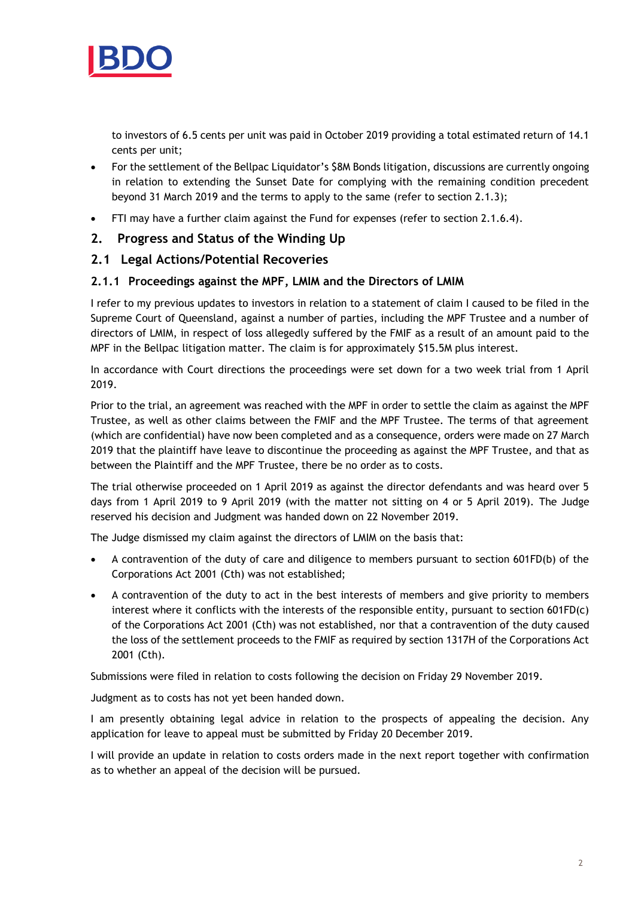

to investors of 6.5 cents per unit was paid in October 2019 providing a total estimated return of 14.1 cents per unit;

- For the settlement of the Bellpac Liquidator's \$8M Bonds litigation, discussions are currently ongoing in relation to extending the Sunset Date for complying with the remaining condition precedent beyond 31 March 2019 and the terms to apply to the same (refer to section 2.1.3);
- FTI may have a further claim against the Fund for expenses (refer to section 2.1.6.4).

## **2. Progress and Status of the Winding Up**

## **2.1 Legal Actions/Potential Recoveries**

#### **2.1.1 Proceedings against the MPF, LMIM and the Directors of LMIM**

I refer to my previous updates to investors in relation to a statement of claim I caused to be filed in the Supreme Court of Queensland, against a number of parties, including the MPF Trustee and a number of directors of LMIM, in respect of loss allegedly suffered by the FMIF as a result of an amount paid to the MPF in the Bellpac litigation matter. The claim is for approximately \$15.5M plus interest.

In accordance with Court directions the proceedings were set down for a two week trial from 1 April 2019.

Prior to the trial, an agreement was reached with the MPF in order to settle the claim as against the MPF Trustee, as well as other claims between the FMIF and the MPF Trustee. The terms of that agreement (which are confidential) have now been completed and as a consequence, orders were made on 27 March 2019 that the plaintiff have leave to discontinue the proceeding as against the MPF Trustee, and that as between the Plaintiff and the MPF Trustee, there be no order as to costs.

The trial otherwise proceeded on 1 April 2019 as against the director defendants and was heard over 5 days from 1 April 2019 to 9 April 2019 (with the matter not sitting on 4 or 5 April 2019). The Judge reserved his decision and Judgment was handed down on 22 November 2019.

The Judge dismissed my claim against the directors of LMIM on the basis that:

- A contravention of the duty of care and diligence to members pursuant to section 601FD(b) of the Corporations Act 2001 (Cth) was not established;
- A contravention of the duty to act in the best interests of members and give priority to members interest where it conflicts with the interests of the responsible entity, pursuant to section 601FD(c) of the Corporations Act 2001 (Cth) was not established, nor that a contravention of the duty caused the loss of the settlement proceeds to the FMIF as required by section 1317H of the Corporations Act 2001 (Cth).

Submissions were filed in relation to costs following the decision on Friday 29 November 2019.

Judgment as to costs has not yet been handed down.

I am presently obtaining legal advice in relation to the prospects of appealing the decision. Any application for leave to appeal must be submitted by Friday 20 December 2019.

I will provide an update in relation to costs orders made in the next report together with confirmation as to whether an appeal of the decision will be pursued.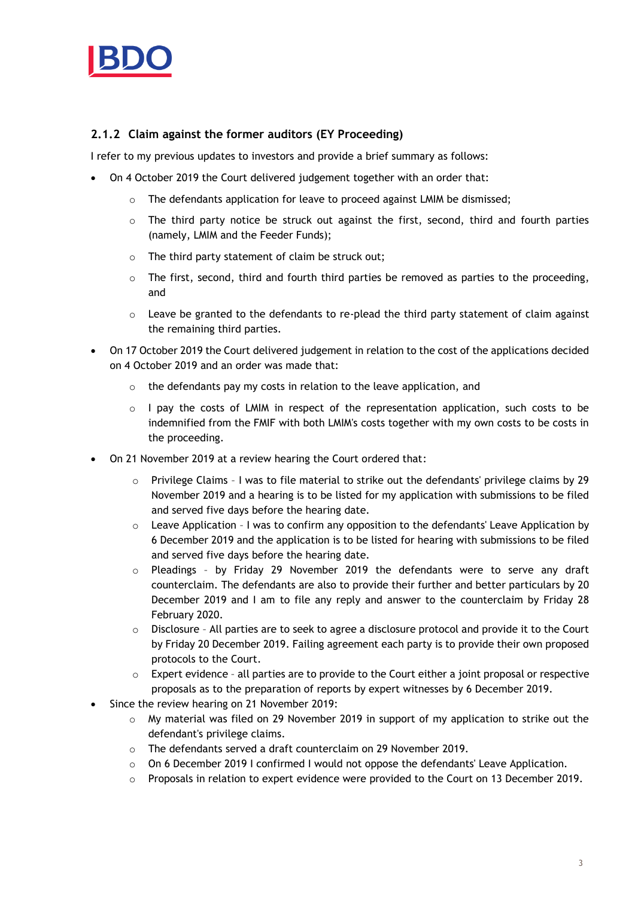

# **2.1.2 Claim against the former auditors (EY Proceeding)**

I refer to my previous updates to investors and provide a brief summary as follows:

- On 4 October 2019 the Court delivered judgement together with an order that:
	- o The defendants application for leave to proceed against LMIM be dismissed;
	- $\circ$  The third party notice be struck out against the first, second, third and fourth parties (namely, LMIM and the Feeder Funds);
	- o The third party statement of claim be struck out;
	- $\circ$  The first, second, third and fourth third parties be removed as parties to the proceeding, and
	- $\circ$  Leave be granted to the defendants to re-plead the third party statement of claim against the remaining third parties.
- On 17 October 2019 the Court delivered judgement in relation to the cost of the applications decided on 4 October 2019 and an order was made that:
	- o the defendants pay my costs in relation to the leave application, and
	- $\circ$  I pay the costs of LMIM in respect of the representation application, such costs to be indemnified from the FMIF with both LMIM's costs together with my own costs to be costs in the proceeding.
- On 21 November 2019 at a review hearing the Court ordered that:
	- $\circ$  Privilege Claims I was to file material to strike out the defendants' privilege claims by 29 November 2019 and a hearing is to be listed for my application with submissions to be filed and served five days before the hearing date.
	- $\circ$  Leave Application I was to confirm any opposition to the defendants' Leave Application by 6 December 2019 and the application is to be listed for hearing with submissions to be filed and served five days before the hearing date.
	- $\circ$  Pleadings by Friday 29 November 2019 the defendants were to serve any draft counterclaim. The defendants are also to provide their further and better particulars by 20 December 2019 and I am to file any reply and answer to the counterclaim by Friday 28 February 2020.
	- o Disclosure All parties are to seek to agree a disclosure protocol and provide it to the Court by Friday 20 December 2019. Failing agreement each party is to provide their own proposed protocols to the Court.
	- o Expert evidence all parties are to provide to the Court either a joint proposal or respective proposals as to the preparation of reports by expert witnesses by 6 December 2019.
- Since the review hearing on 21 November 2019:
	- $\circ$  My material was filed on 29 November 2019 in support of my application to strike out the defendant's privilege claims.
	- o The defendants served a draft counterclaim on 29 November 2019.
	- $\circ$  On 6 December 2019 I confirmed I would not oppose the defendants' Leave Application.
	- o Proposals in relation to expert evidence were provided to the Court on 13 December 2019.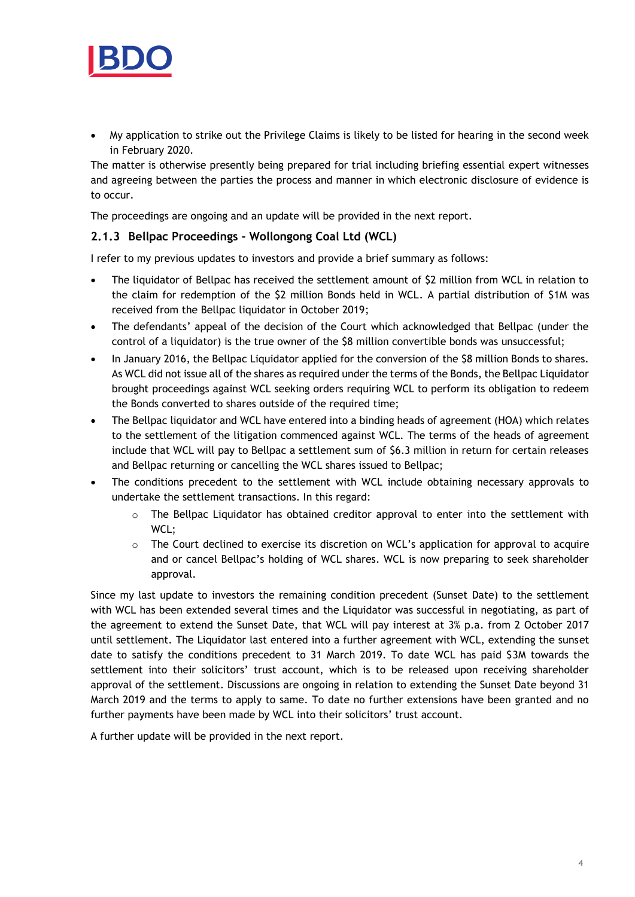

 My application to strike out the Privilege Claims is likely to be listed for hearing in the second week in February 2020.

The matter is otherwise presently being prepared for trial including briefing essential expert witnesses and agreeing between the parties the process and manner in which electronic disclosure of evidence is to occur.

The proceedings are ongoing and an update will be provided in the next report.

## **2.1.3 Bellpac Proceedings - Wollongong Coal Ltd (WCL)**

I refer to my previous updates to investors and provide a brief summary as follows:

- The liquidator of Bellpac has received the settlement amount of \$2 million from WCL in relation to the claim for redemption of the \$2 million Bonds held in WCL. A partial distribution of \$1M was received from the Bellpac liquidator in October 2019;
- The defendants' appeal of the decision of the Court which acknowledged that Bellpac (under the control of a liquidator) is the true owner of the \$8 million convertible bonds was unsuccessful;
- In January 2016, the Bellpac Liquidator applied for the conversion of the \$8 million Bonds to shares. As WCL did not issue all of the shares as required under the terms of the Bonds, the Bellpac Liquidator brought proceedings against WCL seeking orders requiring WCL to perform its obligation to redeem the Bonds converted to shares outside of the required time;
- The Bellpac liquidator and WCL have entered into a binding heads of agreement (HOA) which relates to the settlement of the litigation commenced against WCL. The terms of the heads of agreement include that WCL will pay to Bellpac a settlement sum of \$6.3 million in return for certain releases and Bellpac returning or cancelling the WCL shares issued to Bellpac;
- The conditions precedent to the settlement with WCL include obtaining necessary approvals to undertake the settlement transactions. In this regard:
	- o The Bellpac Liquidator has obtained creditor approval to enter into the settlement with WCL;
	- $\circ$  The Court declined to exercise its discretion on WCL's application for approval to acquire and or cancel Bellpac's holding of WCL shares. WCL is now preparing to seek shareholder approval.

Since my last update to investors the remaining condition precedent (Sunset Date) to the settlement with WCL has been extended several times and the Liquidator was successful in negotiating, as part of the agreement to extend the Sunset Date, that WCL will pay interest at 3% p.a. from 2 October 2017 until settlement. The Liquidator last entered into a further agreement with WCL, extending the sunset date to satisfy the conditions precedent to 31 March 2019. To date WCL has paid \$3M towards the settlement into their solicitors' trust account, which is to be released upon receiving shareholder approval of the settlement. Discussions are ongoing in relation to extending the Sunset Date beyond 31 March 2019 and the terms to apply to same. To date no further extensions have been granted and no further payments have been made by WCL into their solicitors' trust account.

A further update will be provided in the next report.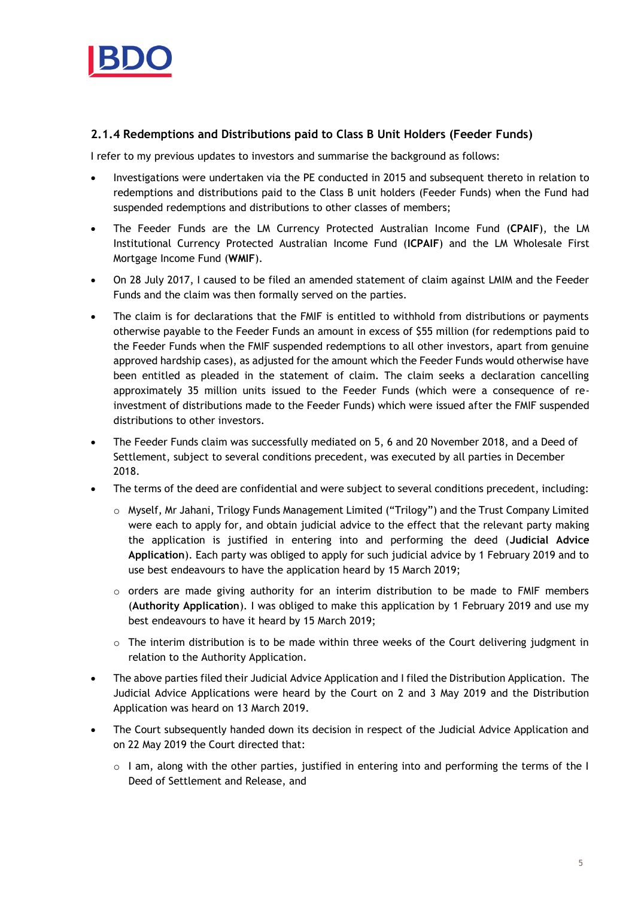

# **2.1.4 Redemptions and Distributions paid to Class B Unit Holders (Feeder Funds)**

I refer to my previous updates to investors and summarise the background as follows:

- Investigations were undertaken via the PE conducted in 2015 and subsequent thereto in relation to redemptions and distributions paid to the Class B unit holders (Feeder Funds) when the Fund had suspended redemptions and distributions to other classes of members;
- The Feeder Funds are the LM Currency Protected Australian Income Fund (**CPAIF**), the LM Institutional Currency Protected Australian Income Fund (**ICPAIF**) and the LM Wholesale First Mortgage Income Fund (**WMIF**).
- On 28 July 2017, I caused to be filed an amended statement of claim against LMIM and the Feeder Funds and the claim was then formally served on the parties.
- The claim is for declarations that the FMIF is entitled to withhold from distributions or payments otherwise payable to the Feeder Funds an amount in excess of \$55 million (for redemptions paid to the Feeder Funds when the FMIF suspended redemptions to all other investors, apart from genuine approved hardship cases), as adjusted for the amount which the Feeder Funds would otherwise have been entitled as pleaded in the statement of claim. The claim seeks a declaration cancelling approximately 35 million units issued to the Feeder Funds (which were a consequence of reinvestment of distributions made to the Feeder Funds) which were issued after the FMIF suspended distributions to other investors.
- The Feeder Funds claim was successfully mediated on 5, 6 and 20 November 2018, and a Deed of Settlement, subject to several conditions precedent, was executed by all parties in December 2018.
- The terms of the deed are confidential and were subject to several conditions precedent, including:
	- o Myself, Mr Jahani, Trilogy Funds Management Limited ("Trilogy") and the Trust Company Limited were each to apply for, and obtain judicial advice to the effect that the relevant party making the application is justified in entering into and performing the deed (**Judicial Advice Application**). Each party was obliged to apply for such judicial advice by 1 February 2019 and to use best endeavours to have the application heard by 15 March 2019;
	- $\circ$  orders are made giving authority for an interim distribution to be made to FMIF members (**Authority Application**). I was obliged to make this application by 1 February 2019 and use my best endeavours to have it heard by 15 March 2019;
	- $\circ$  The interim distribution is to be made within three weeks of the Court delivering judgment in relation to the Authority Application.
- The above parties filed their Judicial Advice Application and I filed the Distribution Application. The Judicial Advice Applications were heard by the Court on 2 and 3 May 2019 and the Distribution Application was heard on 13 March 2019.
- The Court subsequently handed down its decision in respect of the Judicial Advice Application and on 22 May 2019 the Court directed that:
	- $\circ$  I am, along with the other parties, justified in entering into and performing the terms of the I Deed of Settlement and Release, and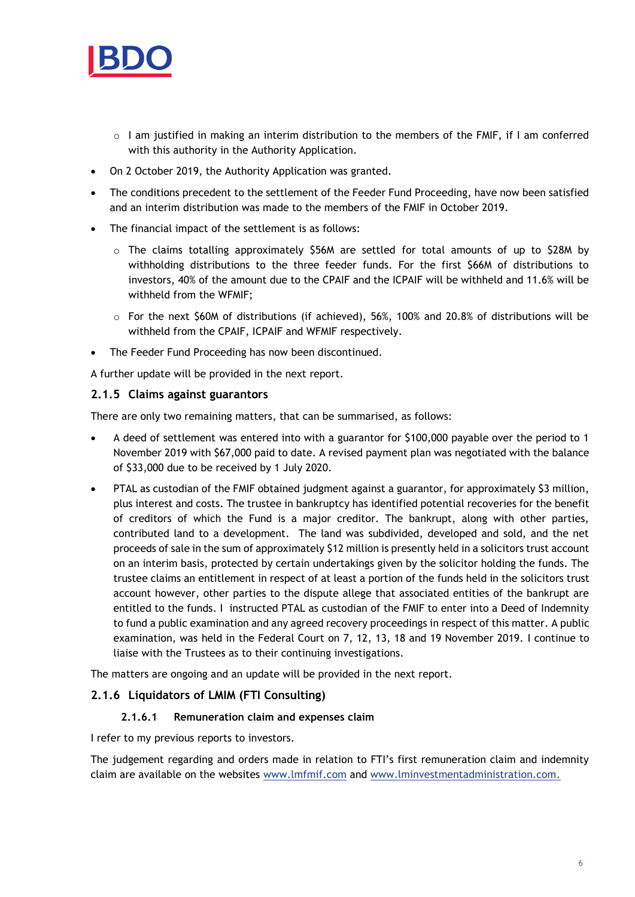

- $\circ$  I am justified in making an interim distribution to the members of the FMIF, if I am conferred with this authority in the Authority Application.
- On 2 October 2019, the Authority Application was granted.
- The conditions precedent to the settlement of the Feeder Fund Proceeding, have now been satisfied and an interim distribution was made to the members of the FMIF in October 2019.
- The financial impact of the settlement is as follows:
	- $\circ$  The claims totalling approximately \$56M are settled for total amounts of up to \$28M by withholding distributions to the three feeder funds. For the first \$66M of distributions to investors, 40% of the amount due to the CPAIF and the ICPAIF will be withheld and 11.6% will be withheld from the WFMIF;
	- $\circ$  For the next \$60M of distributions (if achieved), 56%, 100% and 20.8% of distributions will be withheld from the CPAIF, ICPAIF and WFMIF respectively.
- The Feeder Fund Proceeding has now been discontinued.

A further update will be provided in the next report.

#### **2.1.5 Claims against guarantors**

There are only two remaining matters, that can be summarised, as follows:

- A deed of settlement was entered into with a guarantor for \$100,000 payable over the period to 1 November 2019 with \$67,000 paid to date. A revised payment plan was negotiated with the balance of \$33,000 due to be received by 1 July 2020.
- PTAL as custodian of the FMIF obtained judgment against a guarantor, for approximately \$3 million, plus interest and costs. The trustee in bankruptcy has identified potential recoveries for the benefit of creditors of which the Fund is a major creditor. The bankrupt, along with other parties, contributed land to a development. The land was subdivided, developed and sold, and the net proceeds of sale in the sum of approximately \$12 million is presently held in a solicitors trust account on an interim basis, protected by certain undertakings given by the solicitor holding the funds. The trustee claims an entitlement in respect of at least a portion of the funds held in the solicitors trust account however, other parties to the dispute allege that associated entities of the bankrupt are entitled to the funds. I instructed PTAL as custodian of the FMIF to enter into a Deed of Indemnity to fund a public examination and any agreed recovery proceedings in respect of this matter. A public examination, was held in the Federal Court on 7, 12, 13, 18 and 19 November 2019. I continue to liaise with the Trustees as to their continuing investigations.

The matters are ongoing and an update will be provided in the next report.

#### **2.1.6 Liquidators of LMIM (FTI Consulting)**

#### **2.1.6.1 Remuneration claim and expenses claim**

I refer to my previous reports to investors.

The judgement regarding and orders made in relation to FTI's first remuneration claim and indemnity claim are available on the websites [www.lmfmif.com](http://www.lmfmif.com/) and [www.lminvestmentadministration.com.](http://www.lminvestmentadministration.com/)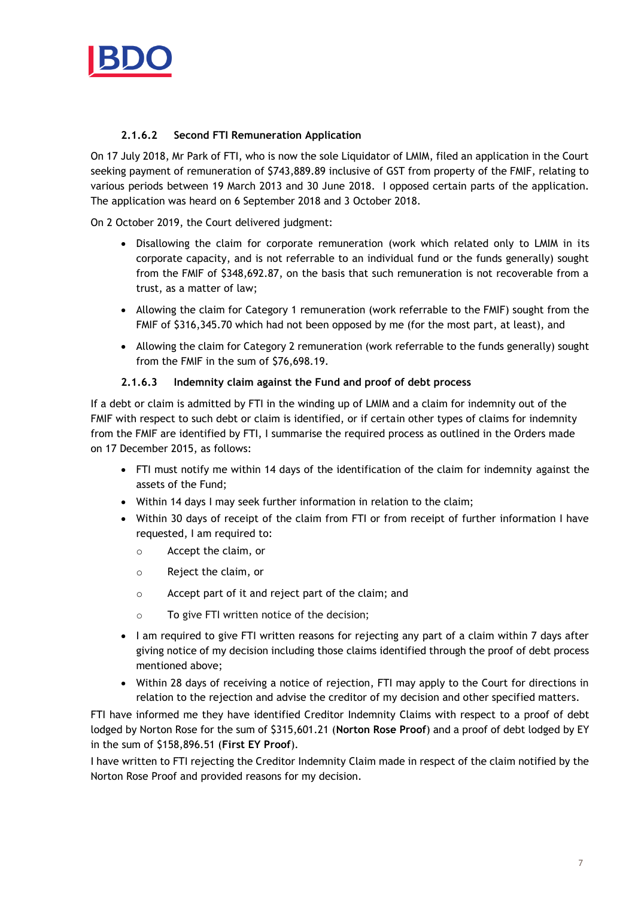

## **2.1.6.2 Second FTI Remuneration Application**

On 17 July 2018, Mr Park of FTI, who is now the sole Liquidator of LMIM, filed an application in the Court seeking payment of remuneration of \$743,889.89 inclusive of GST from property of the FMIF, relating to various periods between 19 March 2013 and 30 June 2018. I opposed certain parts of the application. The application was heard on 6 September 2018 and 3 October 2018.

On 2 October 2019, the Court delivered judgment:

- Disallowing the claim for corporate remuneration (work which related only to LMIM in its corporate capacity, and is not referrable to an individual fund or the funds generally) sought from the FMIF of \$348,692.87, on the basis that such remuneration is not recoverable from a trust, as a matter of law;
- Allowing the claim for Category 1 remuneration (work referrable to the FMIF) sought from the FMIF of \$316,345.70 which had not been opposed by me (for the most part, at least), and
- Allowing the claim for Category 2 remuneration (work referrable to the funds generally) sought from the FMIF in the sum of \$76,698.19.

#### **2.1.6.3 Indemnity claim against the Fund and proof of debt process**

If a debt or claim is admitted by FTI in the winding up of LMIM and a claim for indemnity out of the FMIF with respect to such debt or claim is identified, or if certain other types of claims for indemnity from the FMIF are identified by FTI, I summarise the required process as outlined in the Orders made on 17 December 2015, as follows:

- FTI must notify me within 14 days of the identification of the claim for indemnity against the assets of the Fund;
- Within 14 days I may seek further information in relation to the claim;
- Within 30 days of receipt of the claim from FTI or from receipt of further information I have requested, I am required to:
	- o Accept the claim, or
	- o Reject the claim, or
	- o Accept part of it and reject part of the claim; and
	- o To give FTI written notice of the decision;
- I am required to give FTI written reasons for rejecting any part of a claim within 7 days after giving notice of my decision including those claims identified through the proof of debt process mentioned above;
- Within 28 days of receiving a notice of rejection, FTI may apply to the Court for directions in relation to the rejection and advise the creditor of my decision and other specified matters.

FTI have informed me they have identified Creditor Indemnity Claims with respect to a proof of debt lodged by Norton Rose for the sum of \$315,601.21 (**Norton Rose Proof**) and a proof of debt lodged by EY in the sum of \$158,896.51 (**First EY Proof**).

I have written to FTI rejecting the Creditor Indemnity Claim made in respect of the claim notified by the Norton Rose Proof and provided reasons for my decision.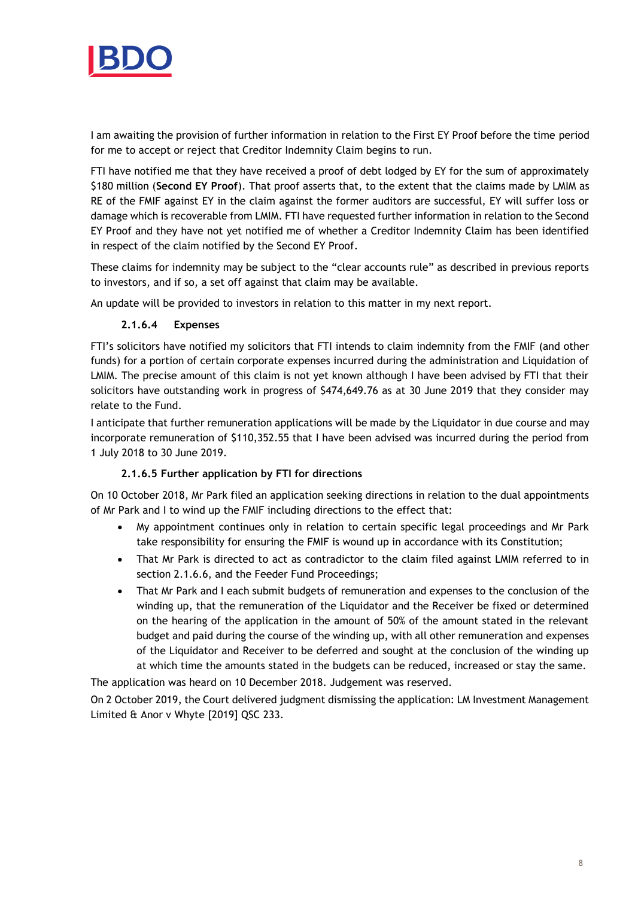

I am awaiting the provision of further information in relation to the First EY Proof before the time period for me to accept or reject that Creditor Indemnity Claim begins to run.

FTI have notified me that they have received a proof of debt lodged by EY for the sum of approximately \$180 million (**Second EY Proof**). That proof asserts that, to the extent that the claims made by LMIM as RE of the FMIF against EY in the claim against the former auditors are successful, EY will suffer loss or damage which is recoverable from LMIM. FTI have requested further information in relation to the Second EY Proof and they have not yet notified me of whether a Creditor Indemnity Claim has been identified in respect of the claim notified by the Second EY Proof.

These claims for indemnity may be subject to the "clear accounts rule" as described in previous reports to investors, and if so, a set off against that claim may be available.

An update will be provided to investors in relation to this matter in my next report.

## **2.1.6.4 Expenses**

FTI's solicitors have notified my solicitors that FTI intends to claim indemnity from the FMIF (and other funds) for a portion of certain corporate expenses incurred during the administration and Liquidation of LMIM. The precise amount of this claim is not yet known although I have been advised by FTI that their solicitors have outstanding work in progress of \$474,649.76 as at 30 June 2019 that they consider may relate to the Fund.

I anticipate that further remuneration applications will be made by the Liquidator in due course and may incorporate remuneration of \$110,352.55 that I have been advised was incurred during the period from 1 July 2018 to 30 June 2019.

## **2.1.6.5 Further application by FTI for directions**

On 10 October 2018, Mr Park filed an application seeking directions in relation to the dual appointments of Mr Park and I to wind up the FMIF including directions to the effect that:

- My appointment continues only in relation to certain specific legal proceedings and Mr Park take responsibility for ensuring the FMIF is wound up in accordance with its Constitution;
- That Mr Park is directed to act as contradictor to the claim filed against LMIM referred to in section 2.1.6.6, and the Feeder Fund Proceedings;
- That Mr Park and I each submit budgets of remuneration and expenses to the conclusion of the winding up, that the remuneration of the Liquidator and the Receiver be fixed or determined on the hearing of the application in the amount of 50% of the amount stated in the relevant budget and paid during the course of the winding up, with all other remuneration and expenses of the Liquidator and Receiver to be deferred and sought at the conclusion of the winding up at which time the amounts stated in the budgets can be reduced, increased or stay the same.

The application was heard on 10 December 2018. Judgement was reserved.

On 2 October 2019, the Court delivered judgment dismissing the application: LM Investment Management Limited & Anor v Whyte [2019] QSC 233.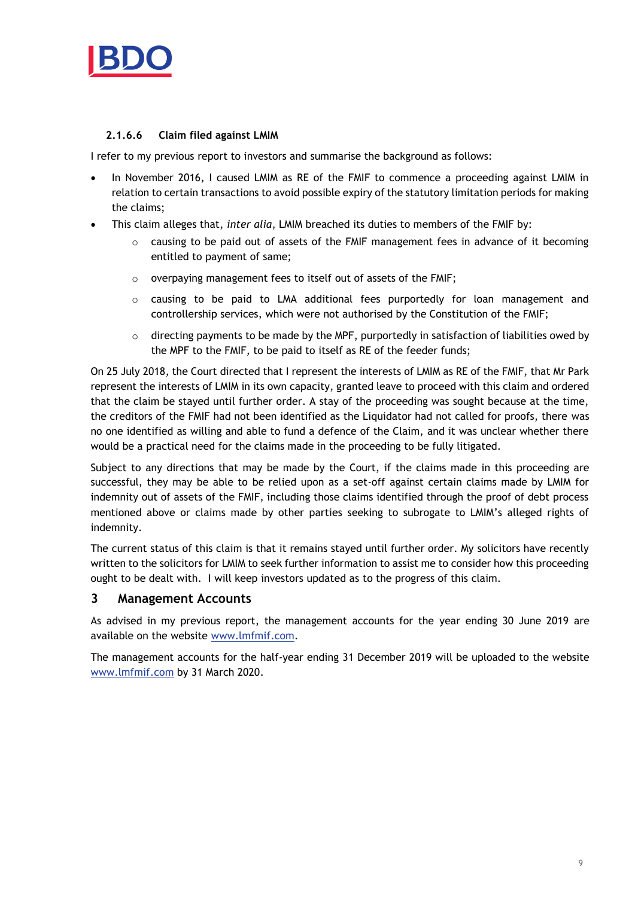

#### **2.1.6.6 Claim filed against LMIM**

I refer to my previous report to investors and summarise the background as follows:

- In November 2016, I caused LMIM as RE of the FMIF to commence a proceeding against LMIM in relation to certain transactions to avoid possible expiry of the statutory limitation periods for making the claims;
- This claim alleges that, *inter alia*, LMIM breached its duties to members of the FMIF by:
	- $\circ$  causing to be paid out of assets of the FMIF management fees in advance of it becoming entitled to payment of same;
	- o overpaying management fees to itself out of assets of the FMIF;
	- $\circ$  causing to be paid to LMA additional fees purportedly for loan management and controllership services, which were not authorised by the Constitution of the FMIF;
	- $\circ$  directing payments to be made by the MPF, purportedly in satisfaction of liabilities owed by the MPF to the FMIF, to be paid to itself as RE of the feeder funds;

On 25 July 2018, the Court directed that I represent the interests of LMIM as RE of the FMIF, that Mr Park represent the interests of LMIM in its own capacity, granted leave to proceed with this claim and ordered that the claim be stayed until further order. A stay of the proceeding was sought because at the time, the creditors of the FMIF had not been identified as the Liquidator had not called for proofs, there was no one identified as willing and able to fund a defence of the Claim, and it was unclear whether there would be a practical need for the claims made in the proceeding to be fully litigated.

Subject to any directions that may be made by the Court, if the claims made in this proceeding are successful, they may be able to be relied upon as a set-off against certain claims made by LMIM for indemnity out of assets of the FMIF, including those claims identified through the proof of debt process mentioned above or claims made by other parties seeking to subrogate to LMIM's alleged rights of indemnity.

The current status of this claim is that it remains stayed until further order. My solicitors have recently written to the solicitors for LMIM to seek further information to assist me to consider how this proceeding ought to be dealt with. I will keep investors updated as to the progress of this claim.

## **3 Management Accounts**

As advised in my previous report, the management accounts for the year ending 30 June 2019 are available on the website [www.lmfmif.com.](http://www.lmfmif.com/)

The management accounts for the half-year ending 31 December 2019 will be uploaded to the website [www.lmfmif.com](http://www.lmfmif.com/) by 31 March 2020.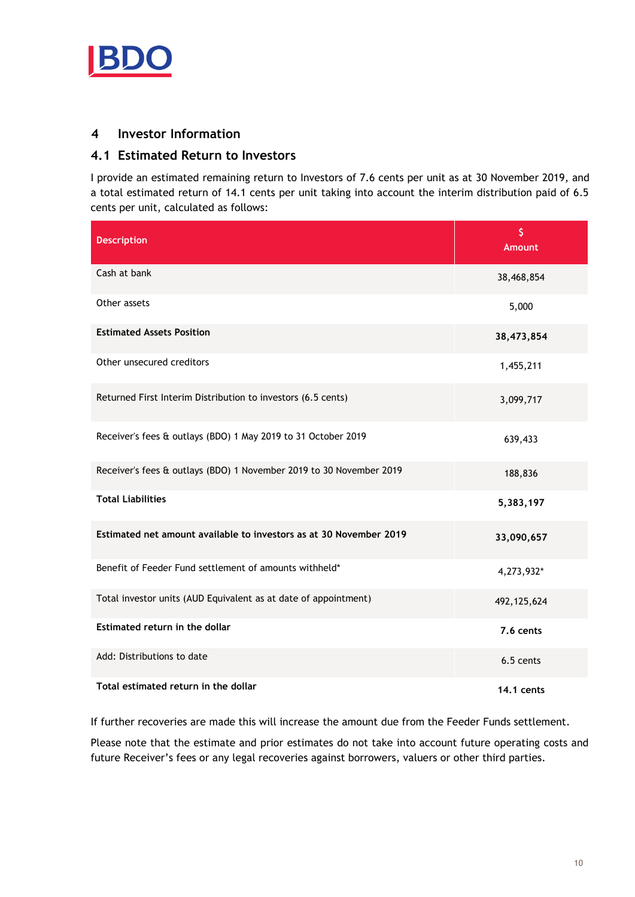

# **4 Investor Information**

## **4.1 Estimated Return to Investors**

I provide an estimated remaining return to Investors of 7.6 cents per unit as at 30 November 2019, and a total estimated return of 14.1 cents per unit taking into account the interim distribution paid of 6.5 cents per unit, calculated as follows:

| <b>Description</b>                                                  | \$<br><b>Amount</b> |
|---------------------------------------------------------------------|---------------------|
| Cash at bank                                                        | 38,468,854          |
| Other assets                                                        | 5,000               |
| <b>Estimated Assets Position</b>                                    | 38,473,854          |
| Other unsecured creditors                                           | 1,455,211           |
| Returned First Interim Distribution to investors (6.5 cents)        | 3,099,717           |
| Receiver's fees & outlays (BDO) 1 May 2019 to 31 October 2019       | 639,433             |
| Receiver's fees & outlays (BDO) 1 November 2019 to 30 November 2019 | 188,836             |
| <b>Total Liabilities</b>                                            | 5,383,197           |
| Estimated net amount available to investors as at 30 November 2019  | 33,090,657          |
| Benefit of Feeder Fund settlement of amounts withheld*              | 4,273,932*          |
| Total investor units (AUD Equivalent as at date of appointment)     | 492, 125, 624       |
| Estimated return in the dollar                                      | 7.6 cents           |
| Add: Distributions to date                                          | 6.5 cents           |
| Total estimated return in the dollar                                | 14.1 cents          |

If further recoveries are made this will increase the amount due from the Feeder Funds settlement.

Please note that the estimate and prior estimates do not take into account future operating costs and future Receiver's fees or any legal recoveries against borrowers, valuers or other third parties.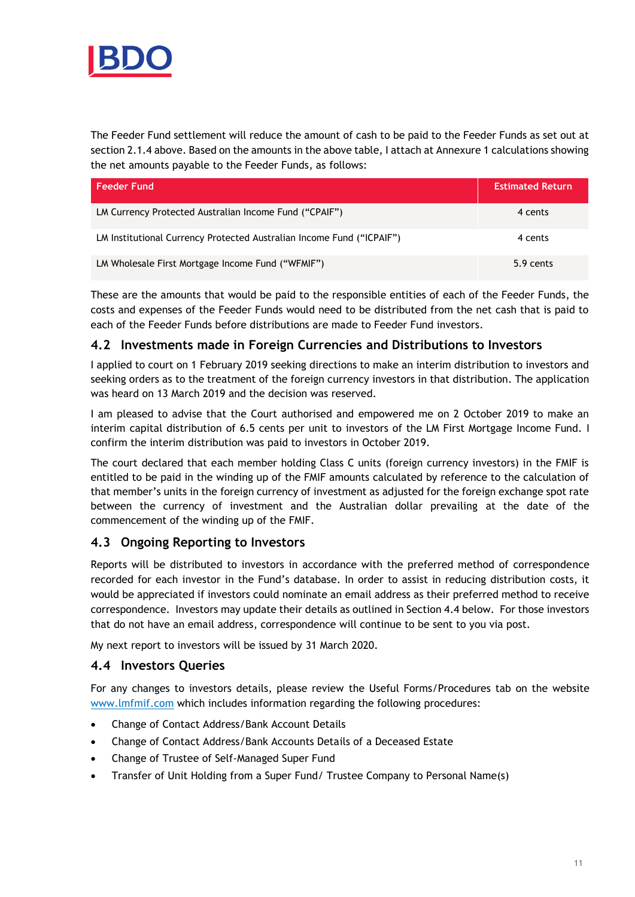

The Feeder Fund settlement will reduce the amount of cash to be paid to the Feeder Funds as set out at section 2.1.4 above. Based on the amounts in the above table, I attach at Annexure 1 calculations showing the net amounts payable to the Feeder Funds, as follows:

| Feeder Fund                                                           | <b>Estimated Return</b> |
|-----------------------------------------------------------------------|-------------------------|
| LM Currency Protected Australian Income Fund ("CPAIF")                | 4 cents                 |
| LM Institutional Currency Protected Australian Income Fund ("ICPAIF") | 4 cents                 |
| LM Wholesale First Mortgage Income Fund ("WFMIF")                     | 5.9 cents               |

These are the amounts that would be paid to the responsible entities of each of the Feeder Funds, the costs and expenses of the Feeder Funds would need to be distributed from the net cash that is paid to each of the Feeder Funds before distributions are made to Feeder Fund investors.

# **4.2 Investments made in Foreign Currencies and Distributions to Investors**

I applied to court on 1 February 2019 seeking directions to make an interim distribution to investors and seeking orders as to the treatment of the foreign currency investors in that distribution. The application was heard on 13 March 2019 and the decision was reserved.

I am pleased to advise that the Court authorised and empowered me on 2 October 2019 to make an interim capital distribution of 6.5 cents per unit to investors of the LM First Mortgage Income Fund. I confirm the interim distribution was paid to investors in October 2019.

The court declared that each member holding Class C units (foreign currency investors) in the FMIF is entitled to be paid in the winding up of the FMIF amounts calculated by reference to the calculation of that member's units in the foreign currency of investment as adjusted for the foreign exchange spot rate between the currency of investment and the Australian dollar prevailing at the date of the commencement of the winding up of the FMIF.

# **4.3 Ongoing Reporting to Investors**

Reports will be distributed to investors in accordance with the preferred method of correspondence recorded for each investor in the Fund's database. In order to assist in reducing distribution costs, it would be appreciated if investors could nominate an email address as their preferred method to receive correspondence. Investors may update their details as outlined in Section 4.4 below. For those investors that do not have an email address, correspondence will continue to be sent to you via post.

My next report to investors will be issued by 31 March 2020.

## **4.4 Investors Queries**

For any changes to investors details, please review the Useful Forms/Procedures tab on the website [www.lmfmif.com](http://www.lmfmif.com/) which includes information regarding the following procedures:

- Change of Contact Address/Bank Account Details
- Change of Contact Address/Bank Accounts Details of a Deceased Estate
- Change of Trustee of Self-Managed Super Fund
- Transfer of Unit Holding from a Super Fund/ Trustee Company to Personal Name(s)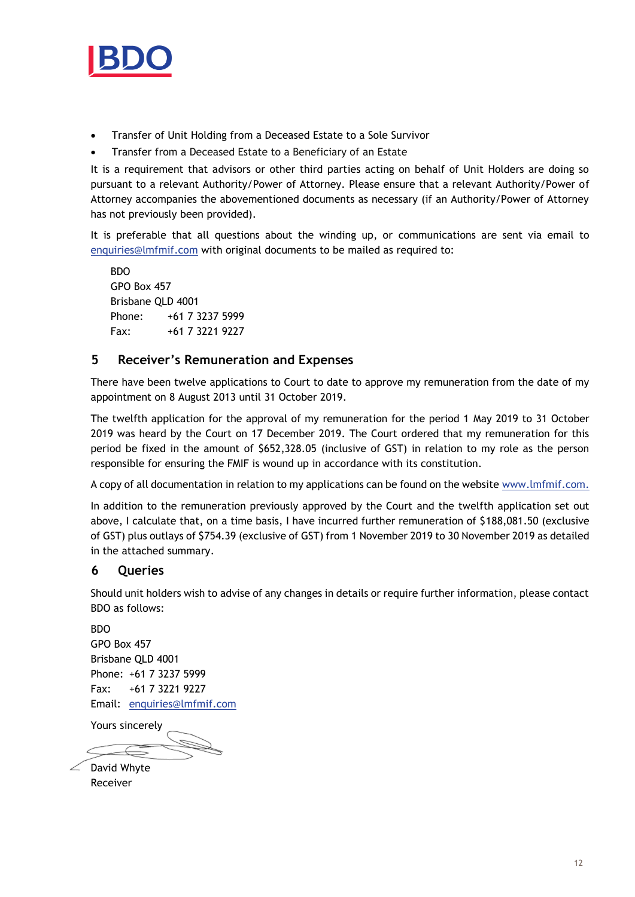

- Transfer of Unit Holding from a Deceased Estate to a Sole Survivor
- Transfer from a Deceased Estate to a Beneficiary of an Estate

It is a requirement that advisors or other third parties acting on behalf of Unit Holders are doing so pursuant to a relevant Authority/Power of Attorney. Please ensure that a relevant Authority/Power of Attorney accompanies the abovementioned documents as necessary (if an Authority/Power of Attorney has not previously been provided).

It is preferable that all questions about the winding up, or communications are sent via email to [enquiries@lmfmif.com](mailto:enquiries@lmfmif.com) with original documents to be mailed as required to:

**BDO** GPO Box 457 Brisbane QLD 4001 Phone: +61 7 3237 5999 Fax: +61 7 3221 9227

# **5 Receiver's Remuneration and Expenses**

There have been twelve applications to Court to date to approve my remuneration from the date of my appointment on 8 August 2013 until 31 October 2019.

The twelfth application for the approval of my remuneration for the period 1 May 2019 to 31 October 2019 was heard by the Court on 17 December 2019. The Court ordered that my remuneration for this period be fixed in the amount of \$652,328.05 (inclusive of GST) in relation to my role as the person responsible for ensuring the FMIF is wound up in accordance with its constitution.

A copy of all documentation in relation to my applications can be found on the website [www.lmfmif.com.](http://www.lmfmif.com/)

In addition to the remuneration previously approved by the Court and the twelfth application set out above, I calculate that, on a time basis, I have incurred further remuneration of \$188,081.50 (exclusive of GST) plus outlays of \$754.39 (exclusive of GST) from 1 November 2019 to 30 November 2019 as detailed in the attached summary.

# **6 Queries**

Should unit holders wish to advise of any changes in details or require further information, please contact BDO as follows:

BDO GPO Box 457 Brisbane QLD 4001 Phone: +61 7 3237 5999 Fax: +61 7 3221 9227 Email: [enquiries@lmfmif.com](mailto:enquiries@lmfmif.com)

Yours sincerely

 $\angle$  David Whyte Receiver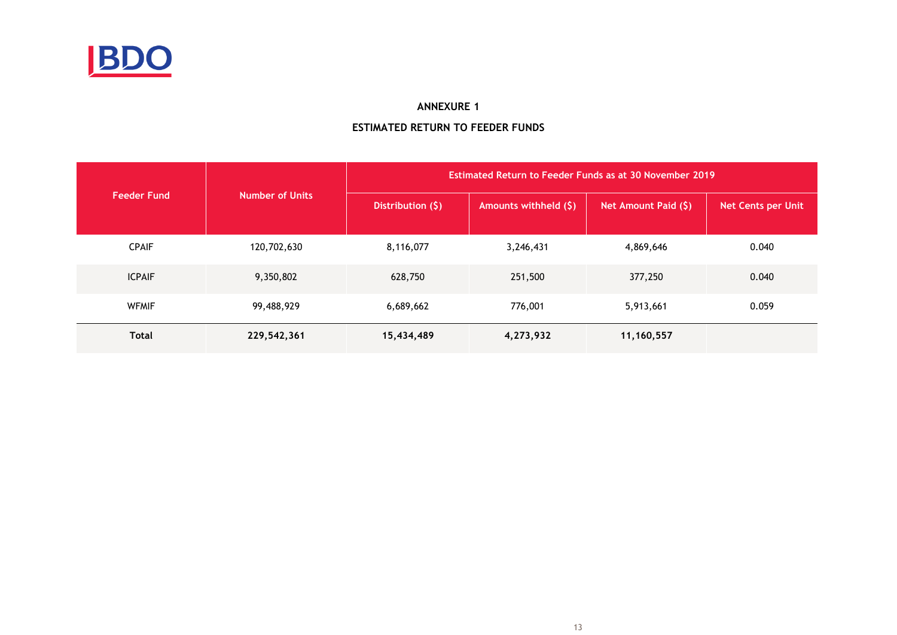

#### **ANNEXURE 1**

# **ESTIMATED RETURN TO FEEDER FUNDS**

|                    |                        | Estimated Return to Feeder Funds as at 30 November 2019 |                       |                      |                           |  |  |  |
|--------------------|------------------------|---------------------------------------------------------|-----------------------|----------------------|---------------------------|--|--|--|
| <b>Feeder Fund</b> | <b>Number of Units</b> | Distribution $(5)$                                      | Amounts withheld (\$) | Net Amount Paid (\$) | <b>Net Cents per Unit</b> |  |  |  |
| <b>CPAIF</b>       | 120,702,630            | 8,116,077                                               | 3,246,431             | 4,869,646            | 0.040                     |  |  |  |
| <b>ICPAIF</b>      | 9,350,802              | 628,750                                                 | 251,500               | 377,250              | 0.040                     |  |  |  |
| <b>WFMIF</b>       | 99,488,929             | 6,689,662                                               | 776,001               | 5,913,661            | 0.059                     |  |  |  |
| <b>Total</b>       | 229,542,361            | 15,434,489                                              | 4,273,932             | 11,160,557           |                           |  |  |  |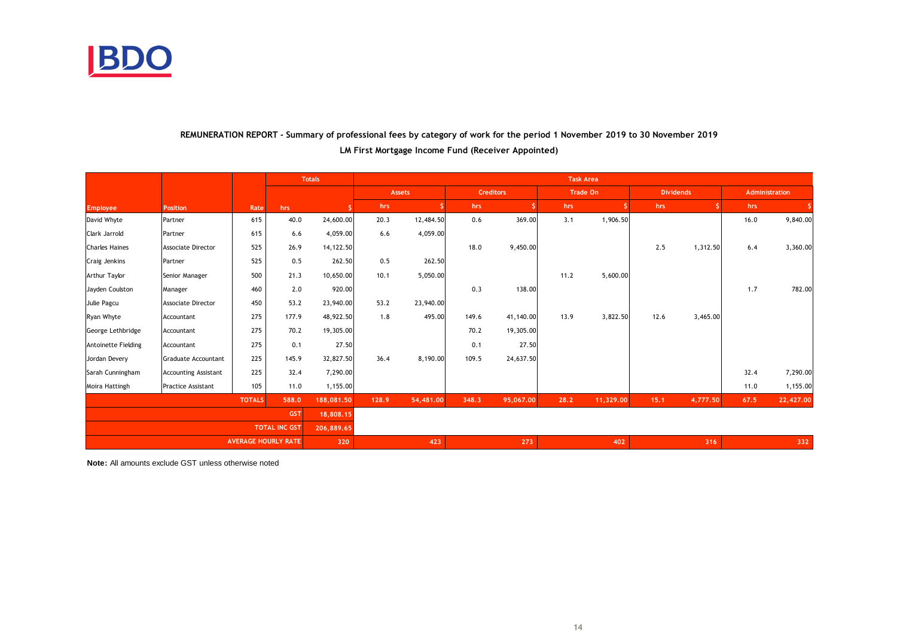

## **REMUNERATION REPORT - Summary of professional fees by category of work for the period 1 November 2019 to 30 November 2019 LM First Mortgage Income Fund (Receiver Appointed)**

|                       |                             |               |                            | <b>Totals</b> | <b>Task Area</b> |               |       |                  |      |           |                  |          |      |                |
|-----------------------|-----------------------------|---------------|----------------------------|---------------|------------------|---------------|-------|------------------|------|-----------|------------------|----------|------|----------------|
|                       |                             |               |                            |               |                  | <b>Assets</b> |       | <b>Creditors</b> |      | Trade On  | <b>Dividends</b> |          |      | Administration |
| <b>Employee</b>       | Position                    | Rate          | hrs                        |               | hrs              |               | hrs   |                  | hrs  |           | hrs              |          | hrs  |                |
| David Whyte           | Partner                     | 615           | 40.0                       | 24,600.00     | 20.3             | 12,484.50     | 0.6   | 369.00           | 3.1  | 1,906.50  |                  |          | 16.0 | 9,840.00       |
| Clark Jarrold         | Partner                     | 615           | 6.6                        | 4,059.00      | 6.6              | 4,059.00      |       |                  |      |           |                  |          |      |                |
| <b>Charles Haines</b> | <b>Associate Director</b>   | 525           | 26.9                       | 14, 122.50    |                  |               | 18.0  | 9,450.00         |      |           | 2.5              | 1,312.50 | 6.4  | 3,360.00       |
| Craig Jenkins         | Partner                     | 525           | 0.5                        | 262.50        | 0.5              | 262.50        |       |                  |      |           |                  |          |      |                |
| Arthur Taylor         | Senior Manager              | 500           | 21.3                       | 10,650.00     | 10.1             | 5,050.00      |       |                  | 11.2 | 5,600.00  |                  |          |      |                |
| Jayden Coulston       | Manager                     | 460           | 2.0                        | 920.00        |                  |               | 0.3   | 138.00           |      |           |                  |          | 1.7  | 782.00         |
| Julie Pagcu           | <b>Associate Director</b>   | 450           | 53.2                       | 23,940.00     | 53.2             | 23,940.00     |       |                  |      |           |                  |          |      |                |
| Ryan Whyte            | Accountant                  | 275           | 177.9                      | 48,922.50     | 1.8              | 495.00        | 149.6 | 41,140.00        | 13.9 | 3,822.50  | 12.6             | 3,465.00 |      |                |
| George Lethbridge     | Accountant                  | 275           | 70.2                       | 19,305.00     |                  |               | 70.2  | 19,305.00        |      |           |                  |          |      |                |
| Antoinette Fielding   | Accountant                  | 275           | 0.1                        | 27.50         |                  |               | 0.1   | 27.50            |      |           |                  |          |      |                |
| Jordan Devery         | Graduate Accountant         | 225           | 145.9                      | 32,827.50     | 36.4             | 8,190.00      | 109.5 | 24,637.50        |      |           |                  |          |      |                |
| Sarah Cunningham      | <b>Accounting Assistant</b> | 225           | 32.4                       | 7,290.00      |                  |               |       |                  |      |           |                  |          | 32.4 | 7,290.00       |
| Moira Hattingh        | Practice Assistant          | 105           | 11.0                       | 1,155.00      |                  |               |       |                  |      |           |                  |          | 11.0 | 1,155.00       |
|                       |                             | <b>TOTALS</b> | 588.0                      | 188,081.50    | 128.9            | 54,481.00     | 348.3 | 95,067.00        | 28.2 | 11,329.00 | 15.1             | 4,777.50 | 67.5 | 22,427.00      |
| <b>GST</b>            |                             |               | 18,808.15                  |               |                  |               |       |                  |      |           |                  |          |      |                |
| <b>TOTAL INC GST</b>  |                             | 206,889.65    |                            |               |                  |               |       |                  |      |           |                  |          |      |                |
|                       |                             |               | <b>AVERAGE HOURLY RATE</b> | 320           |                  | 423           |       | 273              |      | 402       |                  | 316      |      | 332            |

**Note:** All amounts exclude GST unless otherwise noted